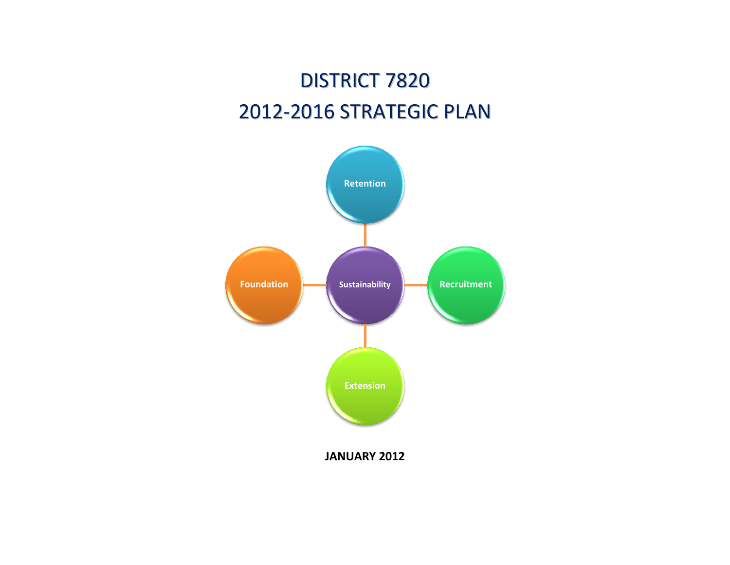## DISTRICT 7820 2012-2016 STRATEGIC PLAN

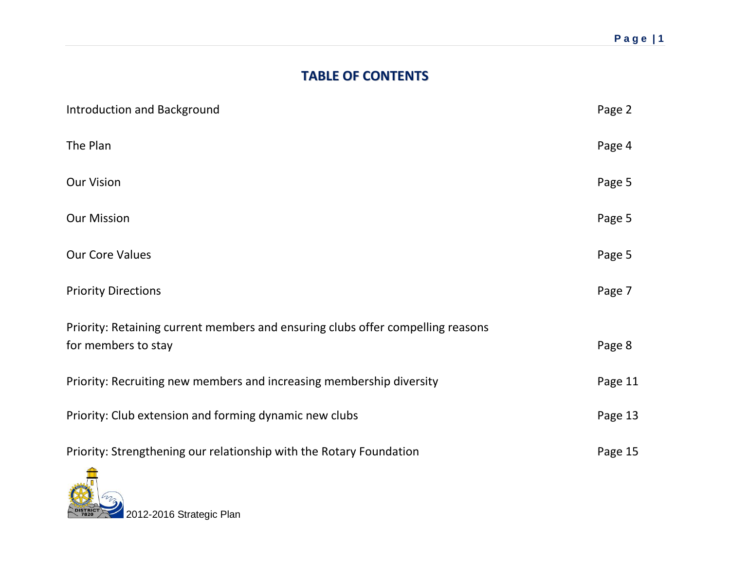## **TABLE OF CONTENTS**

| Introduction and Background                                                                            | Page 2  |
|--------------------------------------------------------------------------------------------------------|---------|
| The Plan                                                                                               | Page 4  |
| <b>Our Vision</b>                                                                                      | Page 5  |
| <b>Our Mission</b>                                                                                     | Page 5  |
| <b>Our Core Values</b>                                                                                 | Page 5  |
| <b>Priority Directions</b>                                                                             | Page 7  |
| Priority: Retaining current members and ensuring clubs offer compelling reasons<br>for members to stay | Page 8  |
| Priority: Recruiting new members and increasing membership diversity                                   | Page 11 |
| Priority: Club extension and forming dynamic new clubs                                                 | Page 13 |
| Priority: Strengthening our relationship with the Rotary Foundation                                    | Page 15 |

2012-2016 Strategic Plan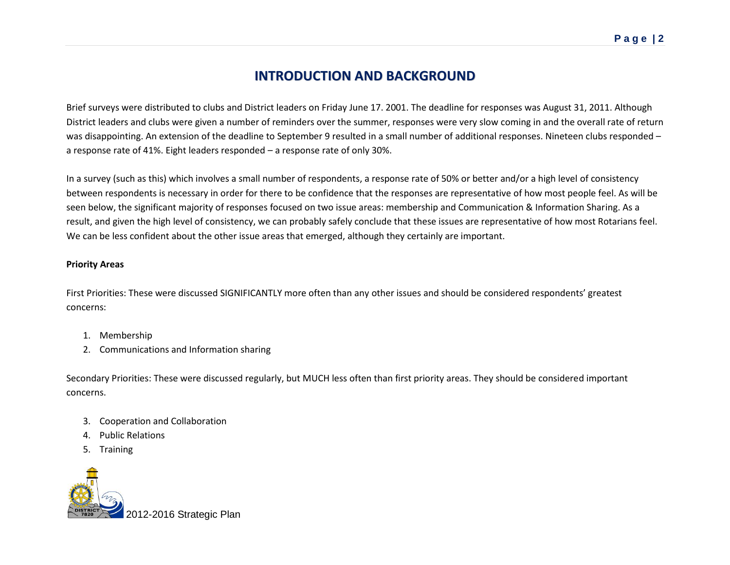## **INTRODUCTION AND BACKGROUND**

Brief surveys were distributed to clubs and District leaders on Friday June 17. 2001. The deadline for responses was August 31, 2011. Although District leaders and clubs were given a number of reminders over the summer, responses were very slow coming in and the overall rate of return was disappointing. An extension of the deadline to September 9 resulted in a small number of additional responses. Nineteen clubs responded – a response rate of 41%. Eight leaders responded – a response rate of only 30%.

In a survey (such as this) which involves a small number of respondents, a response rate of 50% or better and/or a high level of consistency between respondents is necessary in order for there to be confidence that the responses are representative of how most people feel. As will be seen below, the significant majority of responses focused on two issue areas: membership and Communication & Information Sharing. As a result, and given the high level of consistency, we can probably safely conclude that these issues are representative of how most Rotarians feel. We can be less confident about the other issue areas that emerged, although they certainly are important.

#### **Priority Areas**

First Priorities: These were discussed SIGNIFICANTLY more often than any other issues and should be considered respondents' greatest concerns:

- 1. Membership
- 2. Communications and Information sharing

Secondary Priorities: These were discussed regularly, but MUCH less often than first priority areas. They should be considered important concerns.

- 3. Cooperation and Collaboration
- 4. Public Relations
- 5. Training

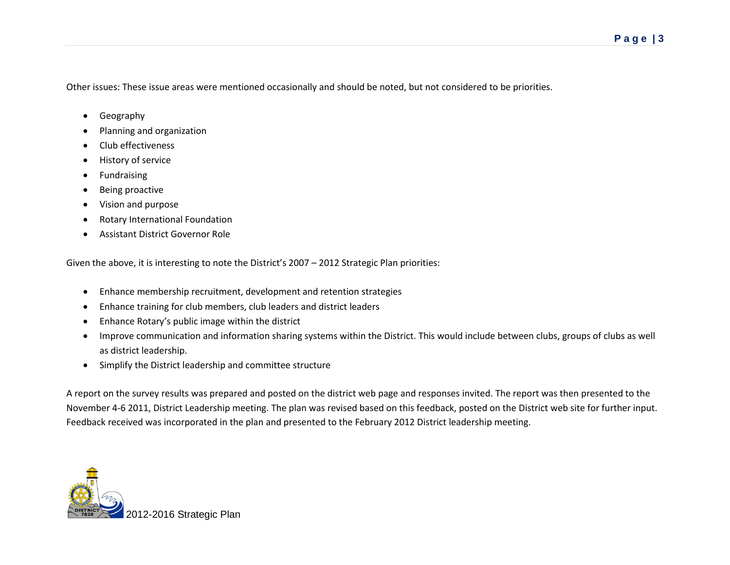Other issues: These issue areas were mentioned occasionally and should be noted, but not considered to be priorities.

- **•** Geography
- Planning and organization
- Club effectiveness
- History of service
- **•** Fundraising
- Being proactive
- Vision and purpose
- Rotary International Foundation
- Assistant District Governor Role

Given the above, it is interesting to note the District's 2007 – 2012 Strategic Plan priorities:

- Enhance membership recruitment, development and retention strategies
- Enhance training for club members, club leaders and district leaders
- Enhance Rotary's public image within the district
- Improve communication and information sharing systems within the District. This would include between clubs, groups of clubs as well as district leadership.
- Simplify the District leadership and committee structure

A report on the survey results was prepared and posted on the district web page and responses invited. The report was then presented to the November 4-6 2011, District Leadership meeting. The plan was revised based on this feedback, posted on the District web site for further input. Feedback received was incorporated in the plan and presented to the February 2012 District leadership meeting.

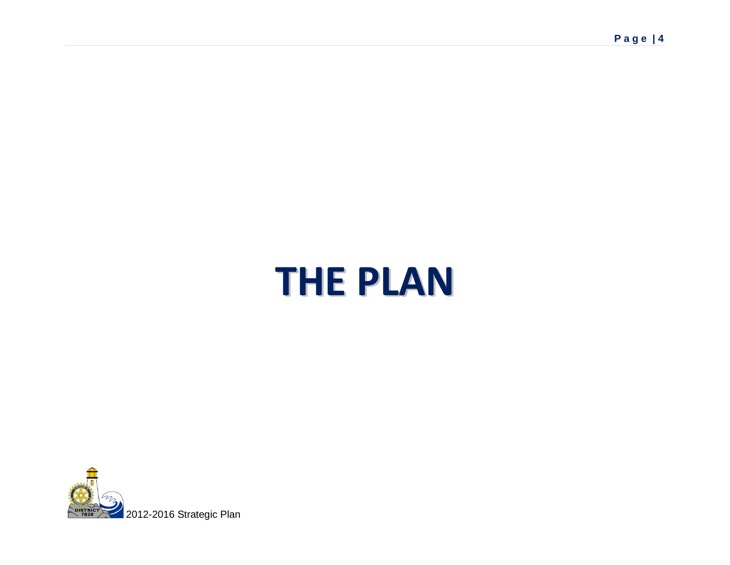# **THE PLAN**

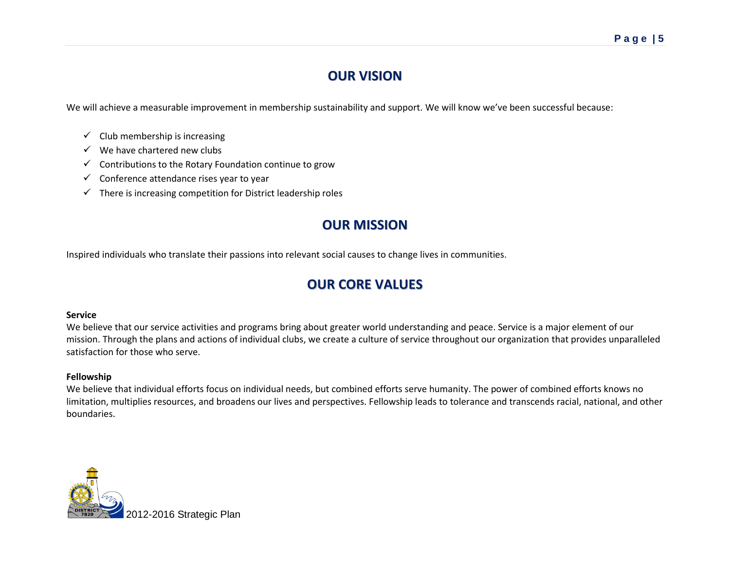## **OUR VISION**

We will achieve a measurable improvement in membership sustainability and support. We will know we've been successful because:

- $\checkmark$  Club membership is increasing
- $\checkmark$  We have chartered new clubs
- $\checkmark$  Contributions to the Rotary Foundation continue to grow
- $\checkmark$  Conference attendance rises year to year
- $\checkmark$  There is increasing competition for District leadership roles

### **OUR MISSION**

Inspired individuals who translate their passions into relevant social causes to change lives in communities.

## **OUR CORE VALUES**

#### **Service**

We believe that our service activities and programs bring about greater world understanding and peace. Service is a major element of our mission. Through the plans and actions of individual clubs, we create a culture of service throughout our organization that provides unparalleled satisfaction for those who serve.

#### **Fellowship**

We believe that individual efforts focus on individual needs, but combined efforts serve humanity. The power of combined efforts knows no limitation, multiplies resources, and broadens our lives and perspectives. Fellowship leads to tolerance and transcends racial, national, and other boundaries.

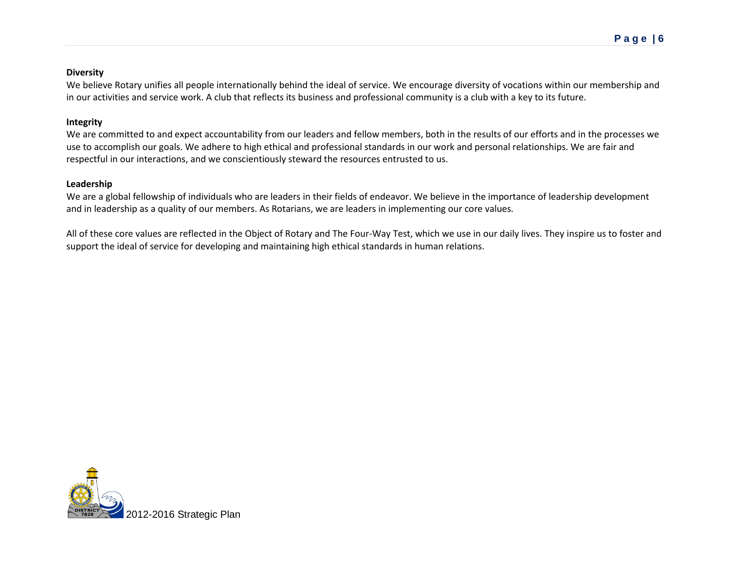#### **Diversity**

We believe Rotary unifies all people internationally behind the ideal of service. We encourage diversity of vocations within our membership and in our activities and service work. A club that reflects its business and professional community is a club with a key to its future.

#### **Integrity**

We are committed to and expect accountability from our leaders and fellow members, both in the results of our efforts and in the processes we use to accomplish our goals. We adhere to high ethical and professional standards in our work and personal relationships. We are fair and respectful in our interactions, and we conscientiously steward the resources entrusted to us.

#### **Leadership**

We are a global fellowship of individuals who are leaders in their fields of endeavor. We believe in the importance of leadership development and in leadership as a quality of our members. As Rotarians, we are leaders in implementing our core values.

All of these core values are reflected in the Object of Rotary and The Four-Way Test, which we use in our daily lives. They inspire us to foster and support the ideal of service for developing and maintaining high ethical standards in human relations.

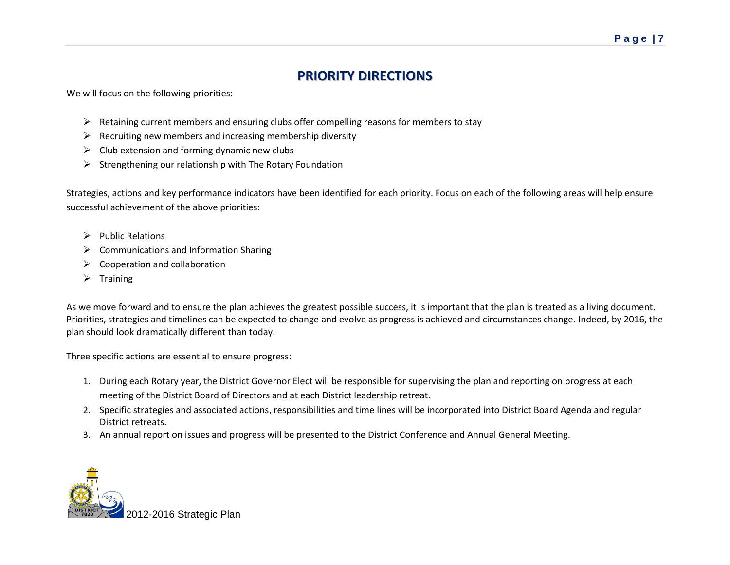## **PRIORITY DIRECTIONS**

We will focus on the following priorities:

- $\triangleright$  Retaining current members and ensuring clubs offer compelling reasons for members to stay
- $\triangleright$  Recruiting new members and increasing membership diversity
- $\triangleright$  Club extension and forming dynamic new clubs
- $\triangleright$  Strengthening our relationship with The Rotary Foundation

Strategies, actions and key performance indicators have been identified for each priority. Focus on each of the following areas will help ensure successful achievement of the above priorities:

- $\triangleright$  Public Relations
- Communications and Information Sharing
- $\triangleright$  Cooperation and collaboration
- $\triangleright$  Training

As we move forward and to ensure the plan achieves the greatest possible success, it is important that the plan is treated as a living document. Priorities, strategies and timelines can be expected to change and evolve as progress is achieved and circumstances change. Indeed, by 2016, the plan should look dramatically different than today.

Three specific actions are essential to ensure progress:

- 1. During each Rotary year, the District Governor Elect will be responsible for supervising the plan and reporting on progress at each meeting of the District Board of Directors and at each District leadership retreat.
- 2. Specific strategies and associated actions, responsibilities and time lines will be incorporated into District Board Agenda and regular District retreats.
- 3. An annual report on issues and progress will be presented to the District Conference and Annual General Meeting.

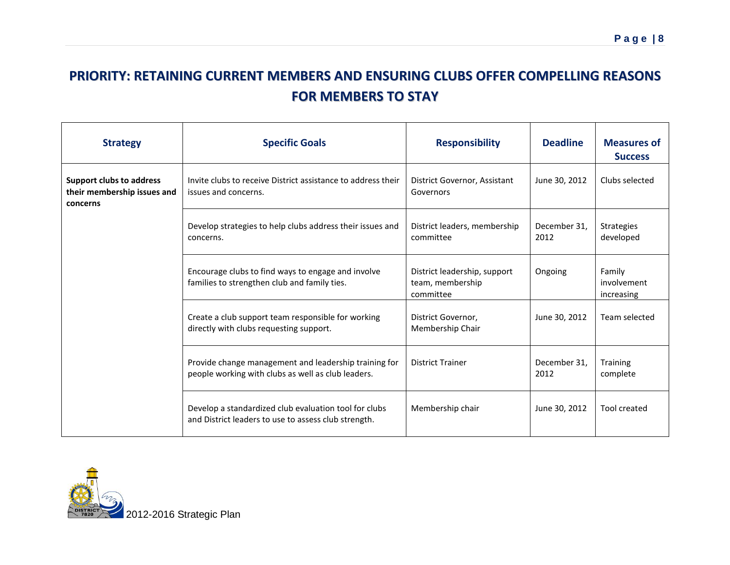## **PRIORITY: RETAINING CURRENT MEMBERS AND ENSURING CLUBS OFFER COMPELLING REASONS FOR MEMBERS TO STAY**

| <b>Strategy</b>                                                            | <b>Specific Goals</b>                                                                                         | <b>Responsibility</b>                                         | <b>Deadline</b>      | <b>Measures of</b><br><b>Success</b> |
|----------------------------------------------------------------------------|---------------------------------------------------------------------------------------------------------------|---------------------------------------------------------------|----------------------|--------------------------------------|
| <b>Support clubs to address</b><br>their membership issues and<br>concerns | Invite clubs to receive District assistance to address their<br>issues and concerns.                          | District Governor, Assistant<br>Governors                     | June 30, 2012        | Clubs selected                       |
|                                                                            | Develop strategies to help clubs address their issues and<br>concerns.                                        | District leaders, membership<br>committee                     | December 31.<br>2012 | <b>Strategies</b><br>developed       |
|                                                                            | Encourage clubs to find ways to engage and involve<br>families to strengthen club and family ties.            | District leadership, support<br>team, membership<br>committee | Ongoing              | Family<br>involvement<br>increasing  |
|                                                                            | Create a club support team responsible for working<br>directly with clubs requesting support.                 | District Governor,<br>Membership Chair                        | June 30, 2012        | Team selected                        |
|                                                                            | Provide change management and leadership training for<br>people working with clubs as well as club leaders.   | <b>District Trainer</b>                                       | December 31.<br>2012 | <b>Training</b><br>complete          |
|                                                                            | Develop a standardized club evaluation tool for clubs<br>and District leaders to use to assess club strength. | Membership chair                                              | June 30, 2012        | Tool created                         |

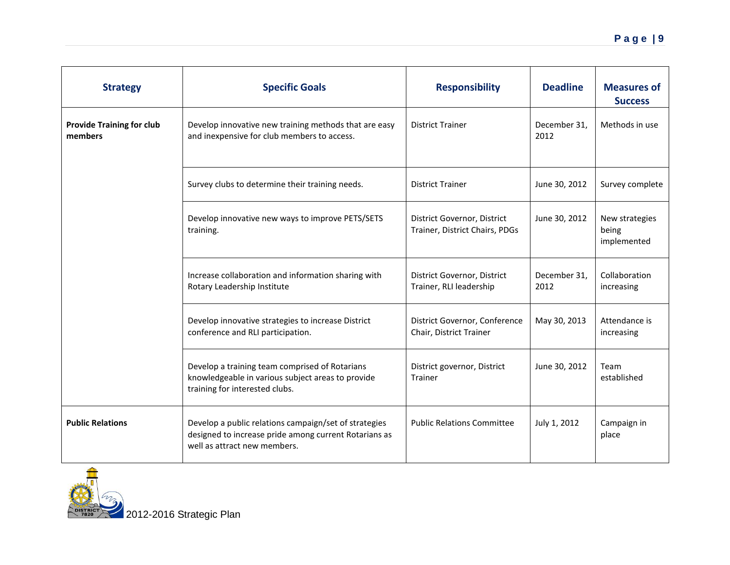| <b>Strategy</b>                             | <b>Specific Goals</b>                                                                                                                          | <b>Responsibility</b>                                         | <b>Deadline</b>      | <b>Measures of</b><br><b>Success</b>   |
|---------------------------------------------|------------------------------------------------------------------------------------------------------------------------------------------------|---------------------------------------------------------------|----------------------|----------------------------------------|
| <b>Provide Training for club</b><br>members | Develop innovative new training methods that are easy<br>and inexpensive for club members to access.                                           | <b>District Trainer</b>                                       | December 31,<br>2012 | Methods in use                         |
|                                             | Survey clubs to determine their training needs.                                                                                                | <b>District Trainer</b>                                       | June 30, 2012        | Survey complete                        |
|                                             | Develop innovative new ways to improve PETS/SETS<br>training.                                                                                  | District Governor, District<br>Trainer, District Chairs, PDGs | June 30, 2012        | New strategies<br>being<br>implemented |
|                                             | Increase collaboration and information sharing with<br>Rotary Leadership Institute                                                             | District Governor, District<br>Trainer, RLI leadership        | December 31,<br>2012 | Collaboration<br>increasing            |
|                                             | Develop innovative strategies to increase District<br>conference and RLI participation.                                                        | District Governor, Conference<br>Chair, District Trainer      | May 30, 2013         | Attendance is<br>increasing            |
|                                             | Develop a training team comprised of Rotarians<br>knowledgeable in various subject areas to provide<br>training for interested clubs.          | District governor, District<br>Trainer                        | June 30, 2012        | Team<br>established                    |
| <b>Public Relations</b>                     | Develop a public relations campaign/set of strategies<br>designed to increase pride among current Rotarians as<br>well as attract new members. | <b>Public Relations Committee</b>                             | July 1, 2012         | Campaign in<br>place                   |

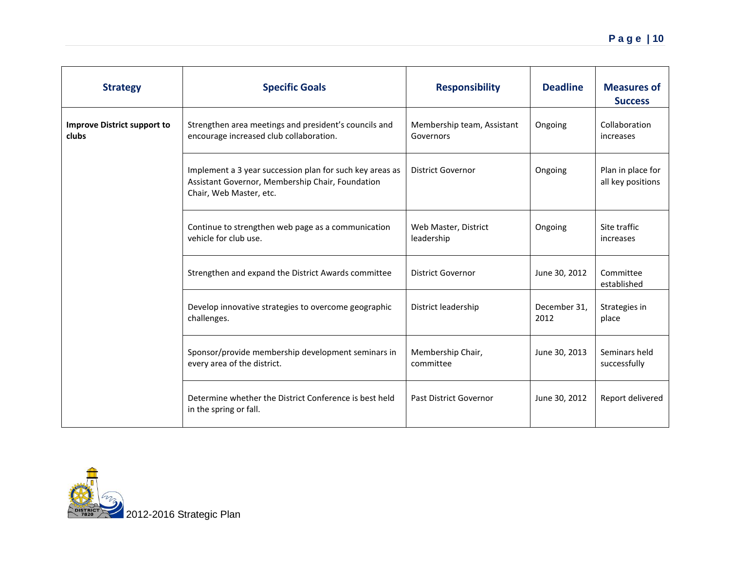| <b>Strategy</b>                             | <b>Specific Goals</b>                                                                                                                   | <b>Responsibility</b>                   | <b>Deadline</b>      | <b>Measures of</b><br><b>Success</b>   |
|---------------------------------------------|-----------------------------------------------------------------------------------------------------------------------------------------|-----------------------------------------|----------------------|----------------------------------------|
| <b>Improve District support to</b><br>clubs | Strengthen area meetings and president's councils and<br>encourage increased club collaboration.                                        | Membership team, Assistant<br>Governors | Ongoing              | Collaboration<br>increases             |
|                                             | Implement a 3 year succession plan for such key areas as<br>Assistant Governor, Membership Chair, Foundation<br>Chair, Web Master, etc. | <b>District Governor</b>                | Ongoing              | Plan in place for<br>all key positions |
|                                             | Continue to strengthen web page as a communication<br>vehicle for club use.                                                             | Web Master, District<br>leadership      | Ongoing              | Site traffic<br>increases              |
|                                             | Strengthen and expand the District Awards committee                                                                                     | <b>District Governor</b>                | June 30, 2012        | Committee<br>established               |
|                                             | Develop innovative strategies to overcome geographic<br>challenges.                                                                     | District leadership                     | December 31.<br>2012 | Strategies in<br>place                 |
|                                             | Sponsor/provide membership development seminars in<br>every area of the district.                                                       | Membership Chair,<br>committee          | June 30, 2013        | Seminars held<br>successfully          |
|                                             | Determine whether the District Conference is best held<br>in the spring or fall.                                                        | <b>Past District Governor</b>           | June 30, 2012        | Report delivered                       |

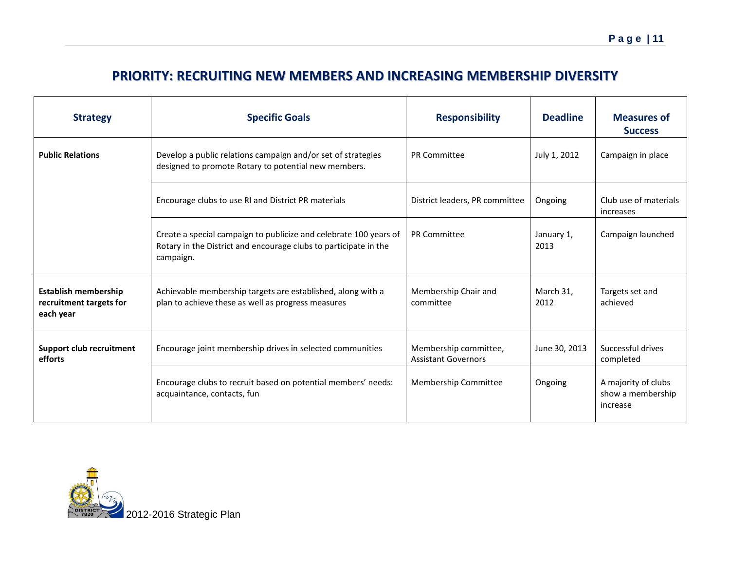## **PRIORITY: RECRUITING NEW MEMBERS AND INCREASING MEMBERSHIP DIVERSITY**

| <b>Strategy</b>                                                     | <b>Specific Goals</b>                                                                                                                              | <b>Responsibility</b>                               | <b>Deadline</b>    | <b>Measures of</b><br><b>Success</b>                 |
|---------------------------------------------------------------------|----------------------------------------------------------------------------------------------------------------------------------------------------|-----------------------------------------------------|--------------------|------------------------------------------------------|
| <b>Public Relations</b>                                             | Develop a public relations campaign and/or set of strategies<br>designed to promote Rotary to potential new members.                               | PR Committee                                        | July 1, 2012       | Campaign in place                                    |
|                                                                     | Encourage clubs to use RI and District PR materials                                                                                                | District leaders, PR committee                      | Ongoing            | Club use of materials<br>increases                   |
|                                                                     | Create a special campaign to publicize and celebrate 100 years of<br>Rotary in the District and encourage clubs to participate in the<br>campaign. | PR Committee                                        | January 1,<br>2013 | Campaign launched                                    |
| <b>Establish membership</b><br>recruitment targets for<br>each year | Achievable membership targets are established, along with a<br>plan to achieve these as well as progress measures                                  | Membership Chair and<br>committee                   | March 31.<br>2012  | Targets set and<br>achieved                          |
| <b>Support club recruitment</b><br>efforts                          | Encourage joint membership drives in selected communities                                                                                          | Membership committee,<br><b>Assistant Governors</b> | June 30, 2013      | Successful drives<br>completed                       |
|                                                                     | Encourage clubs to recruit based on potential members' needs:<br>acquaintance, contacts, fun                                                       | Membership Committee                                | Ongoing            | A majority of clubs<br>show a membership<br>increase |

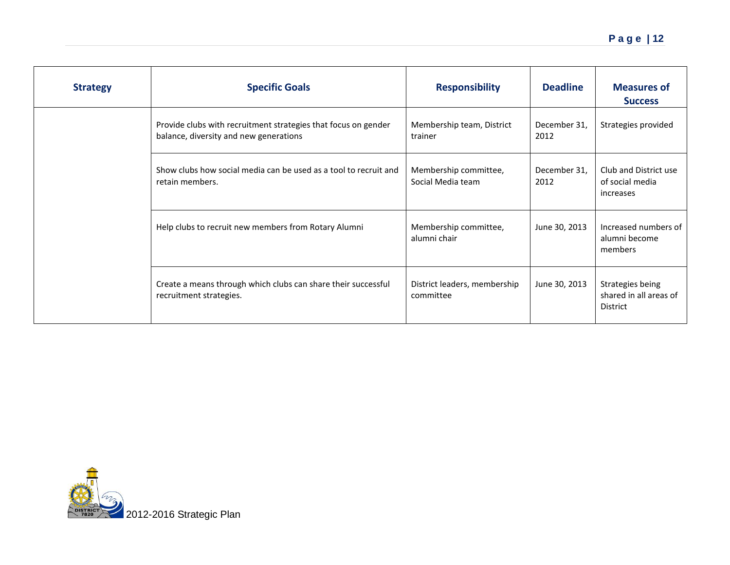| <b>Strategy</b> | <b>Specific Goals</b>                                                                                    | <b>Responsibility</b>                      | <b>Deadline</b>      | <b>Measures of</b><br><b>Success</b>                          |
|-----------------|----------------------------------------------------------------------------------------------------------|--------------------------------------------|----------------------|---------------------------------------------------------------|
|                 | Provide clubs with recruitment strategies that focus on gender<br>balance, diversity and new generations | Membership team, District<br>trainer       | December 31,<br>2012 | Strategies provided                                           |
|                 | Show clubs how social media can be used as a tool to recruit and<br>retain members.                      | Membership committee,<br>Social Media team | December 31,<br>2012 | Club and District use<br>of social media<br>increases         |
|                 | Help clubs to recruit new members from Rotary Alumni                                                     | Membership committee,<br>alumni chair      | June 30, 2013        | Increased numbers of<br>alumni become<br>members              |
|                 | Create a means through which clubs can share their successful<br>recruitment strategies.                 | District leaders, membership<br>committee  | June 30, 2013        | Strategies being<br>shared in all areas of<br><b>District</b> |

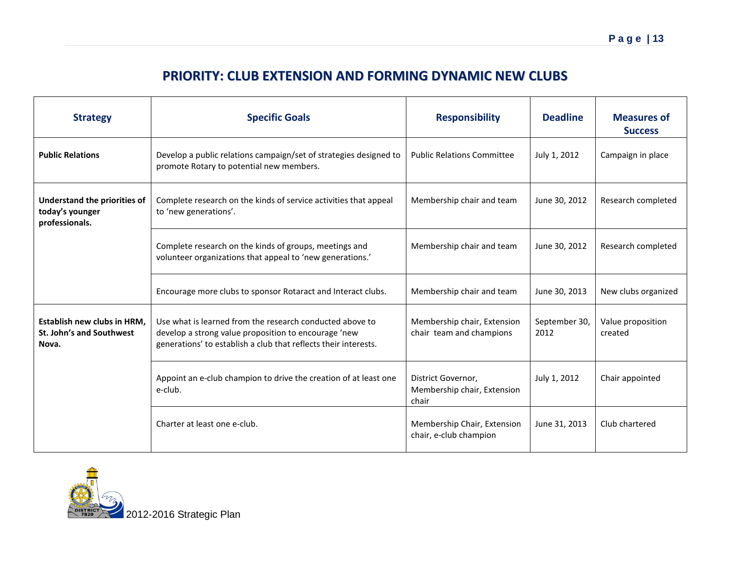## **PRIORITY: CLUB EXTENSION AND FORMING DYNAMIC NEW CLUBS**

| <b>Strategy</b>                                                          | <b>Specific Goals</b>                                                                                                                                                               | <b>Responsibility</b>                                      | <b>Deadline</b>       | <b>Measures of</b><br><b>Success</b> |
|--------------------------------------------------------------------------|-------------------------------------------------------------------------------------------------------------------------------------------------------------------------------------|------------------------------------------------------------|-----------------------|--------------------------------------|
| <b>Public Relations</b>                                                  | Develop a public relations campaign/set of strategies designed to<br>promote Rotary to potential new members.                                                                       | <b>Public Relations Committee</b>                          | July 1, 2012          | Campaign in place                    |
| <b>Understand the priorities of</b><br>today's younger<br>professionals. | Complete research on the kinds of service activities that appeal<br>to 'new generations'.                                                                                           | Membership chair and team                                  | June 30, 2012         | Research completed                   |
|                                                                          | Complete research on the kinds of groups, meetings and<br>volunteer organizations that appeal to 'new generations.'                                                                 | Membership chair and team                                  | June 30, 2012         | Research completed                   |
|                                                                          | Encourage more clubs to sponsor Rotaract and Interact clubs.                                                                                                                        | Membership chair and team                                  | June 30, 2013         | New clubs organized                  |
| <b>Establish new clubs in HRM.</b><br>St. John's and Southwest<br>Nova.  | Use what is learned from the research conducted above to<br>develop a strong value proposition to encourage 'new<br>generations' to establish a club that reflects their interests. | Membership chair, Extension<br>chair team and champions    | September 30,<br>2012 | Value proposition<br>created         |
|                                                                          | Appoint an e-club champion to drive the creation of at least one<br>e-club.                                                                                                         | District Governor,<br>Membership chair, Extension<br>chair | July 1, 2012          | Chair appointed                      |
|                                                                          | Charter at least one e-club.                                                                                                                                                        | Membership Chair, Extension<br>chair, e-club champion      | June 31, 2013         | Club chartered                       |

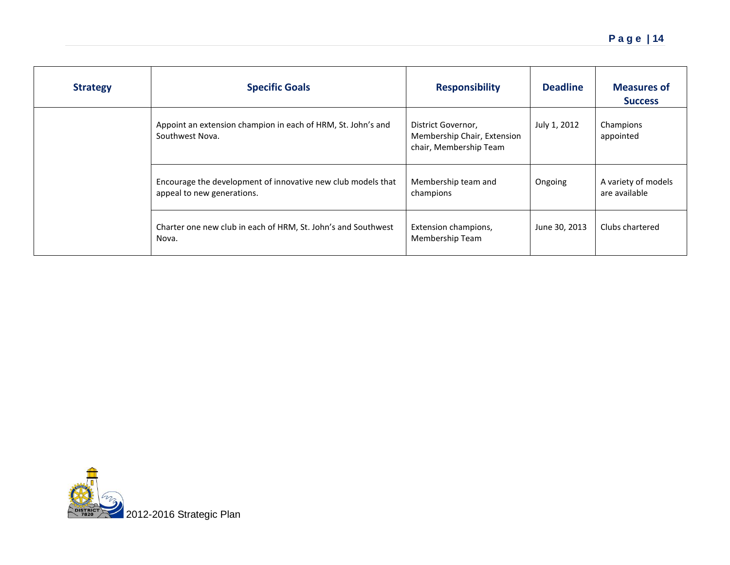| <b>Strategy</b> | <b>Specific Goals</b>                                                                      | <b>Responsibility</b>                                                       | <b>Deadline</b> | <b>Measures of</b><br><b>Success</b> |
|-----------------|--------------------------------------------------------------------------------------------|-----------------------------------------------------------------------------|-----------------|--------------------------------------|
|                 | Appoint an extension champion in each of HRM, St. John's and<br>Southwest Nova.            | District Governor,<br>Membership Chair, Extension<br>chair, Membership Team | July 1, 2012    | Champions<br>appointed               |
|                 | Encourage the development of innovative new club models that<br>appeal to new generations. | Membership team and<br>champions                                            | Ongoing         | A variety of models<br>are available |
|                 | Charter one new club in each of HRM, St. John's and Southwest<br>Nova.                     | Extension champions,<br>Membership Team                                     | June 30, 2013   | Clubs chartered                      |

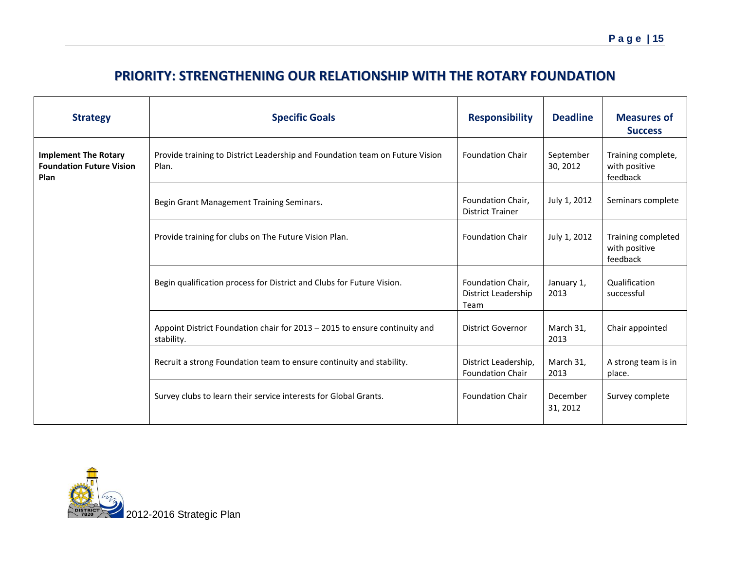## **PRIORITY: STRENGTHENING OUR RELATIONSHIP WITH THE ROTARY FOUNDATION**

| <b>Strategy</b>                                                        | <b>Specific Goals</b>                                                                    | <b>Responsibility</b>                            | <b>Deadline</b>       | <b>Measures of</b><br><b>Success</b>            |
|------------------------------------------------------------------------|------------------------------------------------------------------------------------------|--------------------------------------------------|-----------------------|-------------------------------------------------|
| <b>Implement The Rotary</b><br><b>Foundation Future Vision</b><br>Plan | Provide training to District Leadership and Foundation team on Future Vision<br>Plan.    | <b>Foundation Chair</b>                          | September<br>30, 2012 | Training complete,<br>with positive<br>feedback |
|                                                                        | Begin Grant Management Training Seminars.                                                | Foundation Chair,<br><b>District Trainer</b>     | July 1, 2012          | Seminars complete                               |
|                                                                        | Provide training for clubs on The Future Vision Plan.                                    | <b>Foundation Chair</b>                          | July 1, 2012          | Training completed<br>with positive<br>feedback |
|                                                                        | Begin qualification process for District and Clubs for Future Vision.                    | Foundation Chair,<br>District Leadership<br>Team | January 1,<br>2013    | Qualification<br>successful                     |
|                                                                        | Appoint District Foundation chair for 2013 - 2015 to ensure continuity and<br>stability. | <b>District Governor</b>                         | March 31,<br>2013     | Chair appointed                                 |
|                                                                        | Recruit a strong Foundation team to ensure continuity and stability.                     | District Leadership,<br><b>Foundation Chair</b>  | March 31,<br>2013     | A strong team is in<br>place.                   |
|                                                                        | Survey clubs to learn their service interests for Global Grants.                         | <b>Foundation Chair</b>                          | December<br>31, 2012  | Survey complete                                 |

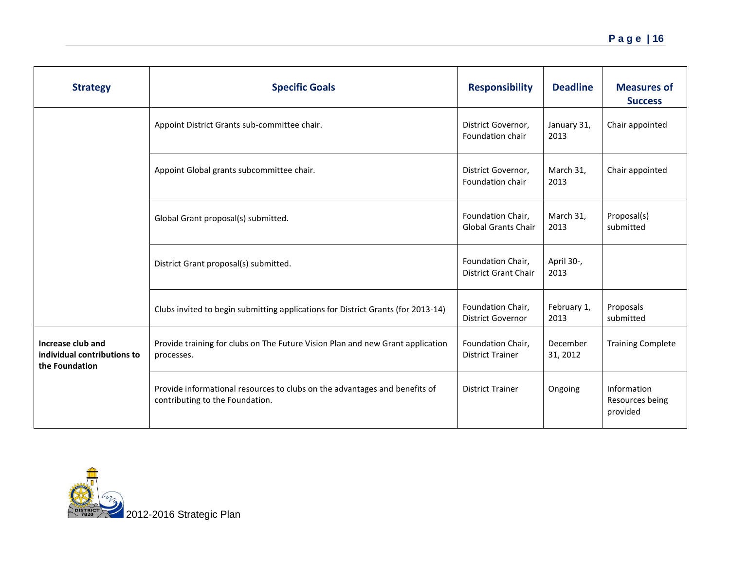| <b>Strategy</b>                                                    | <b>Specific Goals</b>                                                                                         | <b>Responsibility</b>                            | <b>Deadline</b>      | <b>Measures of</b><br><b>Success</b>       |
|--------------------------------------------------------------------|---------------------------------------------------------------------------------------------------------------|--------------------------------------------------|----------------------|--------------------------------------------|
|                                                                    | Appoint District Grants sub-committee chair.                                                                  | District Governor,<br>Foundation chair           | January 31,<br>2013  | Chair appointed                            |
|                                                                    | Appoint Global grants subcommittee chair.                                                                     | District Governor,<br>Foundation chair           | March 31,<br>2013    | Chair appointed                            |
|                                                                    | Global Grant proposal(s) submitted.                                                                           | Foundation Chair,<br><b>Global Grants Chair</b>  | March 31,<br>2013    | Proposal(s)<br>submitted                   |
|                                                                    | District Grant proposal(s) submitted.                                                                         | Foundation Chair,<br><b>District Grant Chair</b> | April 30-,<br>2013   |                                            |
|                                                                    | Clubs invited to begin submitting applications for District Grants (for 2013-14)                              | Foundation Chair,<br><b>District Governor</b>    | February 1,<br>2013  | Proposals<br>submitted                     |
| Increase club and<br>individual contributions to<br>the Foundation | Provide training for clubs on The Future Vision Plan and new Grant application<br>processes.                  | Foundation Chair,<br><b>District Trainer</b>     | December<br>31, 2012 | <b>Training Complete</b>                   |
|                                                                    | Provide informational resources to clubs on the advantages and benefits of<br>contributing to the Foundation. | <b>District Trainer</b>                          | Ongoing              | Information<br>Resources being<br>provided |

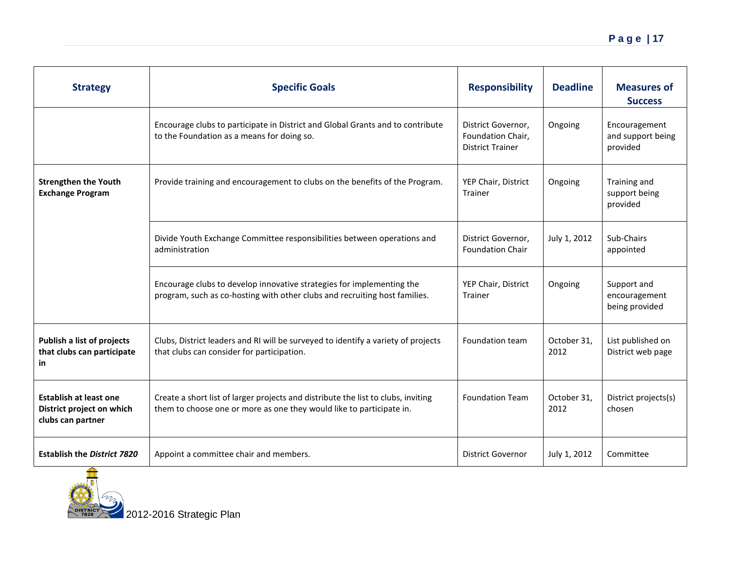| <b>Strategy</b>                                                                 | <b>Specific Goals</b>                                                                                                                                     | <b>Responsibility</b>                                              | <b>Deadline</b>     | <b>Measures of</b><br><b>Success</b>           |
|---------------------------------------------------------------------------------|-----------------------------------------------------------------------------------------------------------------------------------------------------------|--------------------------------------------------------------------|---------------------|------------------------------------------------|
|                                                                                 | Encourage clubs to participate in District and Global Grants and to contribute<br>to the Foundation as a means for doing so.                              | District Governor,<br>Foundation Chair,<br><b>District Trainer</b> | Ongoing             | Encouragement<br>and support being<br>provided |
| <b>Strengthen the Youth</b><br><b>Exchange Program</b>                          | Provide training and encouragement to clubs on the benefits of the Program.                                                                               | YEP Chair, District<br>Trainer                                     | Ongoing             | Training and<br>support being<br>provided      |
|                                                                                 | Divide Youth Exchange Committee responsibilities between operations and<br>administration                                                                 | District Governor,<br><b>Foundation Chair</b>                      | July 1, 2012        | Sub-Chairs<br>appointed                        |
|                                                                                 | Encourage clubs to develop innovative strategies for implementing the<br>program, such as co-hosting with other clubs and recruiting host families.       | YEP Chair, District<br>Trainer                                     | Ongoing             | Support and<br>encouragement<br>being provided |
| Publish a list of projects<br>that clubs can participate<br>in                  | Clubs, District leaders and RI will be surveyed to identify a variety of projects<br>that clubs can consider for participation.                           | Foundation team                                                    | October 31,<br>2012 | List published on<br>District web page         |
| <b>Establish at least one</b><br>District project on which<br>clubs can partner | Create a short list of larger projects and distribute the list to clubs, inviting<br>them to choose one or more as one they would like to participate in. | <b>Foundation Team</b>                                             | October 31.<br>2012 | District projects(s)<br>chosen                 |
| <b>Establish the District 7820</b>                                              | Appoint a committee chair and members.                                                                                                                    | <b>District Governor</b>                                           | July 1, 2012        | Committee                                      |